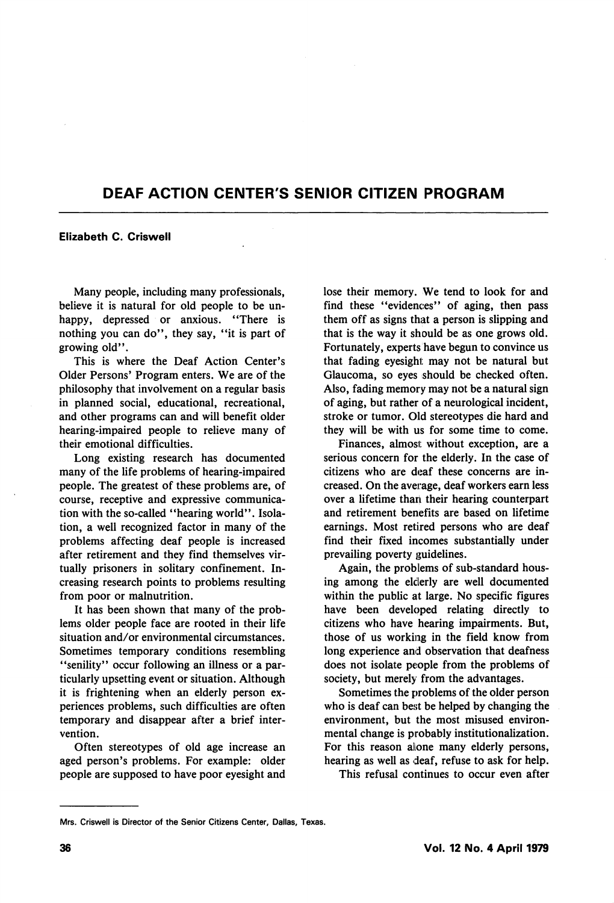## DEAF ACTION CENTER'S SENIOR CITIZEN PROGRAM

## Elizabeth C. Criswell

Many people, including many professionals, believe it is natural for old people to be un happy, depressed or anxious. "There is nothing you can do", they say, "it is part of growing old".

This is where the Deaf Action Center's Older Persons' Program enters. We are of the philosophy that involvement on a regular basis in planned social, educational, recreational, and other programs can and will benefit older hearing-impaired people to relieve many of their emotional difficulties.

Long existing research has documented many of the life problems of hearing-impaired people. The greatest of these problems are, of course, receptive and expressive communica tion with the so-called "hearing world". Isola tion, a well recognized factor in many of the problems affecting deaf people is increased after retirement and they find themselves vir tually prisoners in solitary confinement. In creasing research points to problems resulting from poor or malnutrition.

It has been shown that many of the prob lems older people face are rooted in their life situation and/or environmental circumstances. Sometimes temporary conditions resembling "senility" occur following an illness or a particularly upsetting event or situation. Although it is frightening when an elderly person ex periences problems, such difficulties are often temporary and disappear after a brief inter vention.

Often stereotypes of old age increase an aged person's problems. For example: older people are supposed to have poor eyesight and lose their memory. We tend to look for and find these "evidences" of aging, then pass them off as signs that a person is slipping and that is the way it should be as one grows old. Fortunately, experts have begun to convince us that fading eyesight may not be natural but Glaucoma, so eyes should be checked often. Also, fading memory may not be a natural sign of aging, but rather of a neurological incident, stroke or tumor. Old stereotypes die hard and they will be with us for some time to come.

Finances, almost: without exception, are a serious concern for the elderly. In the case of citizens who are deaf these concerns are in creased. On the average, deaf workers earn less over a lifetime than their hearing counterpart and retirement benefits are based on lifetime earnings. Most retired persons who are deaf find their fixed incomes substantially under prevailing poverty guidelines.

Again, the problems of sub-standard hous ing among the elderly are well documented within the public at large. No specific figures have been developed relating directly to citizens who have hearing impairments. But, those of us working in the field know from long experience and observation that deafness does not isolate people from the problems of society, but merely from the advantages.

Sometimes the problems of the older person who is deaf can best be helped by changing the environment, but the most misused environ mental change is probably institutionalization. For this reason alone many elderly persons, hearing as well as deaf, refuse to ask for help.

This refusal continues to occur even after

Mrs. Criswell is Director of the Senior Citizens Center, Dallas, Texas.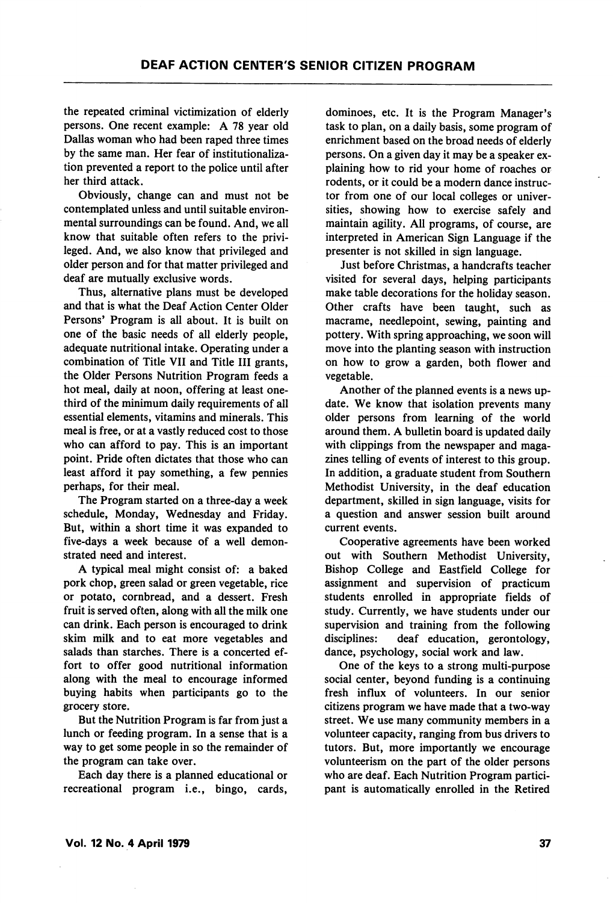the repeated criminal victimization of elderly persons. One recent example: A 78 year old Dallas woman who had been raped three times by the same man. Her fear of institutionalization prevented a report to the police until after her third attack.

Obviously, change can and must not be contemplated unless and until suitable environ mental surroundings can be found. And, we all know that suitable often refers to the privi leged. And, we also know that privileged and older person and for that matter privileged and deaf are mutually exclusive words.

Thus, alternative plans must be developed and that is what the Deaf Action Center Older Persons' Program is all about. It is built on one of the basic needs of all elderly people, adequate nutritional intake. Operating under a combination of Title VII and Title III grants, the Older Persons Nutrition Program feeds a hot meal, daily at noon, offering at least onethird of the minimum daily requirements of all essential elements, vitamins and minerals. This meal is free, or at a vastly reduced cost to those who can afford to pay. This is an important point. Pride often dictates that those who can least afford it pay something, a few pennies perhaps, for their meal.

The Program started on a three-day a week schedule, Monday, Wednesday and Friday. But, within a short time it was expanded to five-days a week because of a well demon strated need and interest.

A typical meal might consist of: a baked pork chop, green salad or green vegetable, rice or potato, cornbread, and a dessert. Fresh fruit is served often, along with all the milk one can drink. Each person is encouraged to drink skim milk and to eat more vegetables and salads than starches. There is a concerted ef fort to offer good nutritional information along with the meal to encourage informed buying habits when participants go to the grocery store.

But the Nutrition Program is far from just a lunch or feeding program. In a sense that is a way to get some people in so the remainder of the program can take over.

Each day there is a planned educational or recreational program i.e., bingo, cards.

dominoes, etc. It is the Program Manager's task to plan, on a daily basis, some program of enrichment based on the broad needs of elderly persons. On a given day it may be a speaker ex plaining how to rid your home of roaches or rodents, or it could be a modern dance instruc tor from one of our local colleges or univer sities, showing how to exercise safely and maintain agility. All programs, of course, are interpreted in American Sign Language if the presenter is not skilled in sign language.

Just before Christmas, a handcrafts teacher visited for several days, helping participants make table decorations for the holiday season. Other crafts have been taught, such as macrame, needlepoint, sewing, painting and pottery. With spring approaching, we soon will move into the planting season with instruction on how to grow a garden, both flower and vegetable.

Another of the planned events is a news up date. We know that isolation prevents many older persons from learning of the world around them. A bulletin board is updated daily with clippings from the newspaper and magazines telling of events of interest to this group. In addition, a graduate student from Southern Methodist University, in the deaf education department, skilled in sign language, visits for a question and answer session built around current events.

Cooperative agreements have been worked out with Southern Methodist University, Bishop College and Eastfield College for assignment and supervision of practicum students enrolled in appropriate fields of study. Currently, we have students under our supervision and training from the following disciplines: deaf education, gerontology, dance, psychology, social work and law.

One of the keys to a strong multi-purpose social center, beyond funding is a continuing fresh influx of volunteers. In our senior citizens program we have made that a two-way street. We use many community members in a volunteer capacity, ranging from bus drivers to tutors. But, more importantly we encourage volunteerism on the part of the older persons who are deaf. Each Nutrition Program partici pant is automatically enrolled in the Retired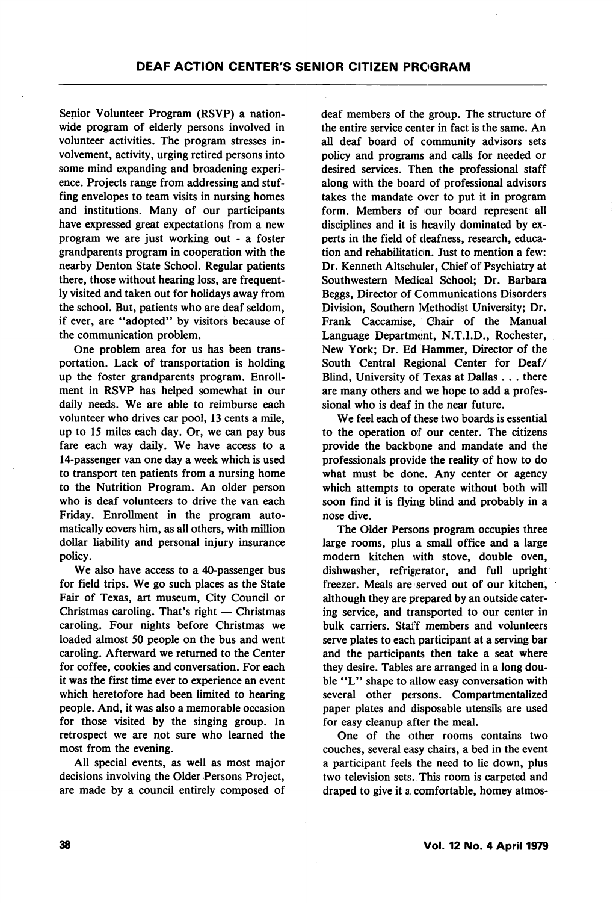Senior Volunteer Program (RSVP) a nation wide program of elderly persons involved in volunteer activities. The program stresses in volvement, activity, urging retired persons into some mind expanding and broadening experi ence. Projects range from addressing and stuf fing envelopes to team visits in nursing homes and institutions. Many of our participants have expressed great expectations from a new program we are just working out - a foster grandparents program in cooperation with the nearby Denton State School. Regular patients there, those without hearing loss, are frequent ly visited and taken out for holidays away from the school. But, patients who are deaf seldom, if ever, are \*'adopted" by visitors because of the communication problem.

One problem area for us has been trans portation. Lack of transportation is holding up the foster grandparents program. Enroll ment in RSVP has helped somewhat in our daily needs. We are able to reimburse each volunteer who drives car pool, 13 cents a mile, up to 15 miles each day. Or, we can pay bus fare each way daily. We have access to a 14-passenger van one day a week which is used to transport ten patients from a nursing home to the Nutrition Program. An older person who is deaf volunteers to drive the van each Friday. Enrollment in the program auto matically covers him, as all others, with million dollar liability and personal injury insurance policy.

We also have access to a 40-passenger bus for field trips. We go such places as the State Fair of Texas, art museum. City Council or Christmas caroling. That's right — Christmas caroling. Four nights before Christmas we loaded almost 50 people on the bus and went caroling. Afterward we returned to the Center for coffee, cookies and conversation. For each it was the first time ever to experience an event which heretofore had been limited to hearing people. And, it was also a memorable occasion for those visited by the singing group. In retrospect we are not sure who learned the most from the evening.

All special events, as well as most major decisions involving the Older Persons Project, are made by a council entirely composed of deaf members of the group. The structure of the entire service center in fact is the same. An all deaf board of community advisors sets policy and programs and calls for needed or desired services. Then the professional staff along with the board of professional advisors takes the mandate over to put it in program form. Members of our board represent all disciplines and it is heavily dominated by experts in the field of deafness, research, educa tion and rehabilitation. Just to mention a few: Dr. Kenneth Altschuler, Chief of Psychiatry at Southwestern Medical School; Dr. Barbara Beggs, Director of Communications Disorders Division, Southern Methodist University; Dr. Frank Caccamise, Chair of the Manual Language Department, N.T.I.D., Rochester, New York; Dr. Ed Hammer, Director of the South Central Regional Center for Deaf/ Blind, University of Texas at Dallas . . . there are many others and we hope to add a profes sional who is deaf in the near future.

We feel each of these two boards is essential to the operation of our center. The citizens provide the backbone and mandate and the professionals provide the reality of how to do what must be done. Any center or agency which attempts to operate without both will soon find it is flying blind and probably in a nose dive.

The Older Persons program occupies three large rooms, plus a small office and a large modern kitchen with stove, double oven, dishwasher, refrigerator, and full upright freezer. Meals are served out of our kitchen, although they are prepared by an outside cater ing service, and transported to our center in bulk carriers. Staff members and volunteers serve plates to each participant at a serving bar and the participants then take a seat where they desire. Tables are arranged in a long dou ble "L" shape to allow easy conversation with several other persons. Compartmentalized paper plates and disposable utensils are used for easy cleanup after the meal.

One of the other rooms contains two couches, several eiasy chairs, a bed in the event a participant feels the need to lie down, plus two television sets. This room is carpeted and draped to give it a comfortable, homey atmos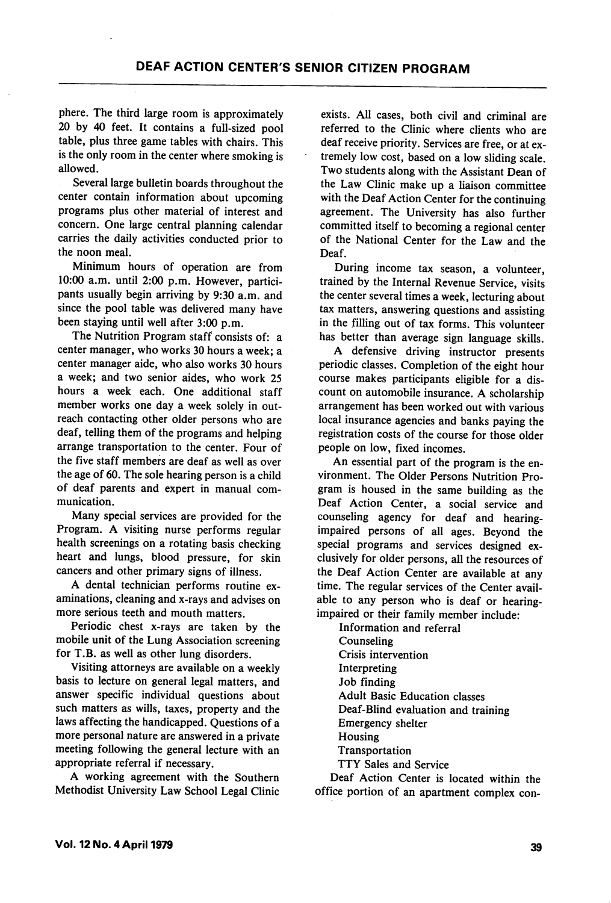phere. The third large room is approximately 20 by 40 feet. It contains a full-sized pool table, plus three game tables with chairs. This is the only room in the center where smoking is allowed.

Several large bulletin boards throughout the center contain information about upcoming programs plus other material of interest and concern. One large central planning calendar carries the daily activities conducted prior to the noon meal.

Minimum hours of operation are from 10:00 a.m. until 2:00 p.m. However, partici pants usually begin arriving by 9:30 a.m. and since the pool table was delivered many have been staying until well after 3:00 p.m.

The Nutrition Program staff consists of: a center manager, who works 30 hours a week; a center manager aide, who also works 30 hours a week; and two senior aides, who work 25 hours a week each. One additional staff member works one day a week solely in out reach contacting other older persons who are deaf, telling them of the programs and helping arrange transportation to the center. Four of the five staff members are deaf as well as over the age of 60. The sole hearing person is a child of deaf parents and expert in manual com munication.

Many special services are provided for the Program. A visiting nurse performs regular health screenings on a rotating basis checking heart and lungs, blood pressure, for skin cancers and other primary signs of illness.

A dental technician performs routine ex aminations, cleaning and x-rays and advises on more serious teeth and mouth matters.

Periodic chest x-rays are taken by the mobile unit of the Lung Association screening for T.B. as well as other lung disorders.

Visiting attorneys are available on a weekly basis to lecture on general legal matters, and answer specific individual questions about such matters as wills, taxes, property and the laws affecting the handicapped. Questions of a more personal nature are answered in a private meeting following the general lecture with an appropriate referral if necessary.

A working agreement with the Southern Methodist University Law School Legal Clinic exists. All cases, both civil and criminal are referred to the Clinic where clients who are deaf receive priority. Services are free, or at ex tremely low cost, based on a low sliding scale. Two students along with the Assistant Dean of the Law Clinic make up a liaison committee with the Deaf Action Center for the continuing agreement. The University has also further committed itself to becoming a regional center of the National Center for the Law and the Deaf.

During income tax season, a volunteer, trained by the Internal Revenue Service, visits the center several times a week, lecturing about tax matters, answering questions and assisting in the filling out of tax forms. This volunteer has better than average sign language skills.

A defensive driving instructor presents periodic classes. Completion of the eight hour course makes participants eligible for a dis count on automobile insurance. A scholarship arrangement has been worked out with various local insurance agencies and banks paying the registration costs of the course for those older people on low, fixed incomes.

An essential part of the program is the en vironment. The Older Persons Nutrition Pro gram is housed in the same building as the Deaf Action Center, a social service and counseling agency for deaf and hearingimpaired persons of all ages. Beyond the special programs and services designed ex clusively for older persons, all the resources of the Deaf Action Center are available at any time. The regular services of the Center avail able to any person who is deaf or hearingimpaired or their family member include:

Information and referral Counseling Crisis intervention Interpreting Job finding Adult Basic Education classes Deaf-Blind evaluation and training Emergency shelter Housing Transportation TTY Sales and Service

Deaf Action Center is located within the office portion of an apartment complex con